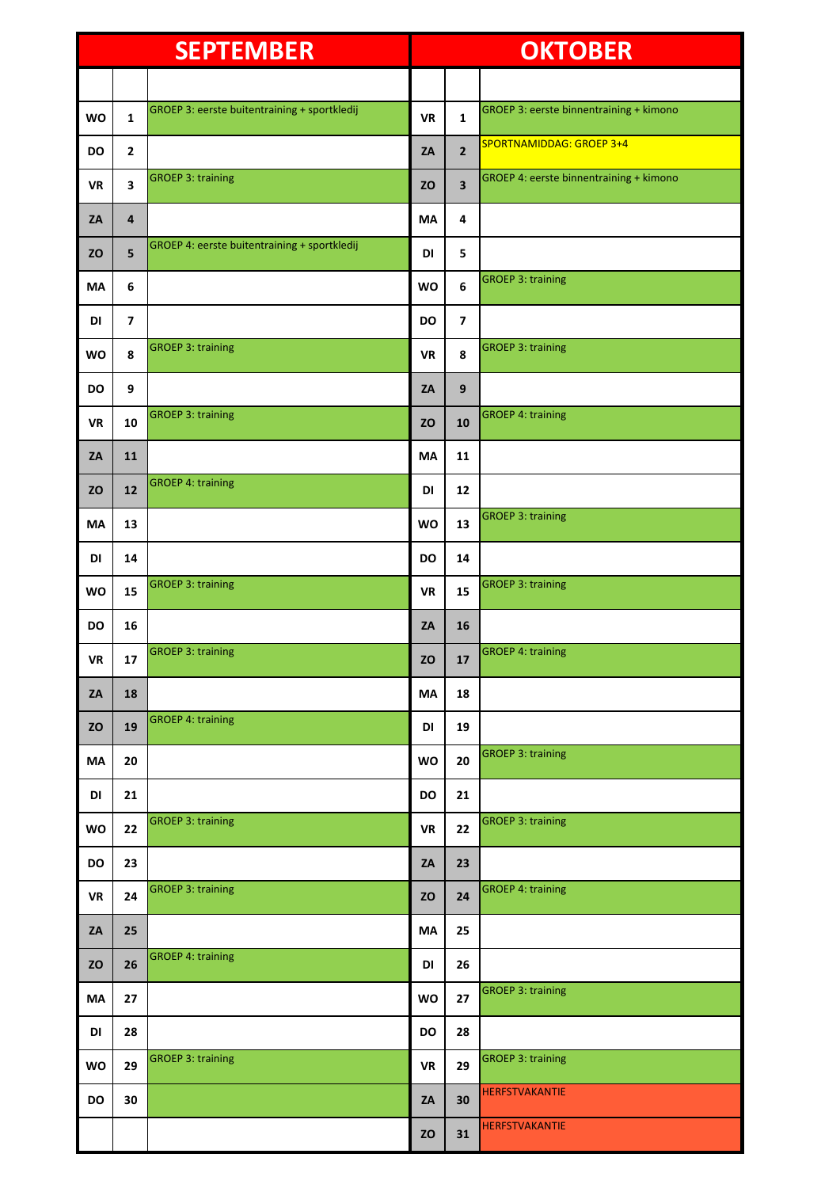| <b>SEPTEMBER</b> |                         | <b>OKTOBER</b>                               |           |                         |                                         |
|------------------|-------------------------|----------------------------------------------|-----------|-------------------------|-----------------------------------------|
|                  |                         |                                              |           |                         |                                         |
| <b>WO</b>        | $\mathbf{1}$            | GROEP 3: eerste buitentraining + sportkledij | <b>VR</b> | $\mathbf{1}$            | GROEP 3: eerste binnentraining + kimono |
| <b>DO</b>        | $\overline{2}$          |                                              | ZA        | $\overline{2}$          | <b>SPORTNAMIDDAG: GROEP 3+4</b>         |
| <b>VR</b>        | $\overline{\mathbf{3}}$ | <b>GROEP 3: training</b>                     | <b>ZO</b> | $\overline{\mathbf{3}}$ | GROEP 4: eerste binnentraining + kimono |
| ZA               | 4                       |                                              | <b>MA</b> | 4                       |                                         |
| <b>ZO</b>        | 5                       | GROEP 4: eerste buitentraining + sportkledij | DI        | 5                       |                                         |
| MA               | 6                       |                                              | <b>WO</b> | 6                       | <b>GROEP 3: training</b>                |
| DI               | $\overline{\mathbf{z}}$ |                                              | <b>DO</b> | $\overline{ }$          |                                         |
| <b>WO</b>        | 8                       | <b>GROEP 3: training</b>                     | <b>VR</b> | 8                       | <b>GROEP 3: training</b>                |
| DO               | 9                       |                                              | ZA        | 9                       |                                         |
| <b>VR</b>        | 10                      | <b>GROEP 3: training</b>                     | <b>ZO</b> | 10                      | <b>GROEP 4: training</b>                |
| ZA               | 11                      |                                              | <b>MA</b> | 11                      |                                         |
| <b>ZO</b>        | 12                      | <b>GROEP 4: training</b>                     | DI        | 12                      |                                         |
| MA               | 13                      |                                              | <b>WO</b> | 13                      | <b>GROEP 3: training</b>                |
| DI               | 14                      |                                              | <b>DO</b> | 14                      |                                         |
| <b>WO</b>        | 15                      | <b>GROEP 3: training</b>                     | <b>VR</b> | 15                      | <b>GROEP 3: training</b>                |
| <b>DO</b>        | 16                      |                                              | ZA        | 16                      |                                         |
| ${\sf VR}$       | 17                      | <b>GROEP 3: training</b>                     | ZO        | $17\,$                  | <b>GROEP 4: training</b>                |
| ZA               | 18                      |                                              | MA        | 18                      |                                         |
| ZO               | 19                      | <b>GROEP 4: training</b>                     | DI        | 19                      |                                         |
| MA               | 20                      |                                              | WO        | 20                      | <b>GROEP 3: training</b>                |
| DI               | 21                      |                                              | DO        | 21                      |                                         |
| <b>WO</b>        | 22                      | <b>GROEP 3: training</b>                     | <b>VR</b> | 22                      | <b>GROEP 3: training</b>                |
| DO               | 23                      |                                              | ZA        | 23                      |                                         |
| <b>VR</b>        | 24                      | <b>GROEP 3: training</b>                     | <b>ZO</b> | 24                      | <b>GROEP 4: training</b>                |
| ZA               | 25                      |                                              | MA        | 25                      |                                         |
| <b>ZO</b>        | 26                      | <b>GROEP 4: training</b>                     | DI        | 26                      |                                         |
| MA               | 27                      |                                              | WO        | 27                      | <b>GROEP 3: training</b>                |
| DI               | 28                      |                                              | DO        | 28                      |                                         |
| <b>WO</b>        | 29                      | <b>GROEP 3: training</b>                     | <b>VR</b> | 29                      | <b>GROEP 3: training</b>                |
| DO               | 30                      |                                              | ZA        | 30                      | <b>HERFSTVAKANTIE</b>                   |
|                  |                         |                                              | <b>ZO</b> | 31                      | <b>HERFSTVAKANTIE</b>                   |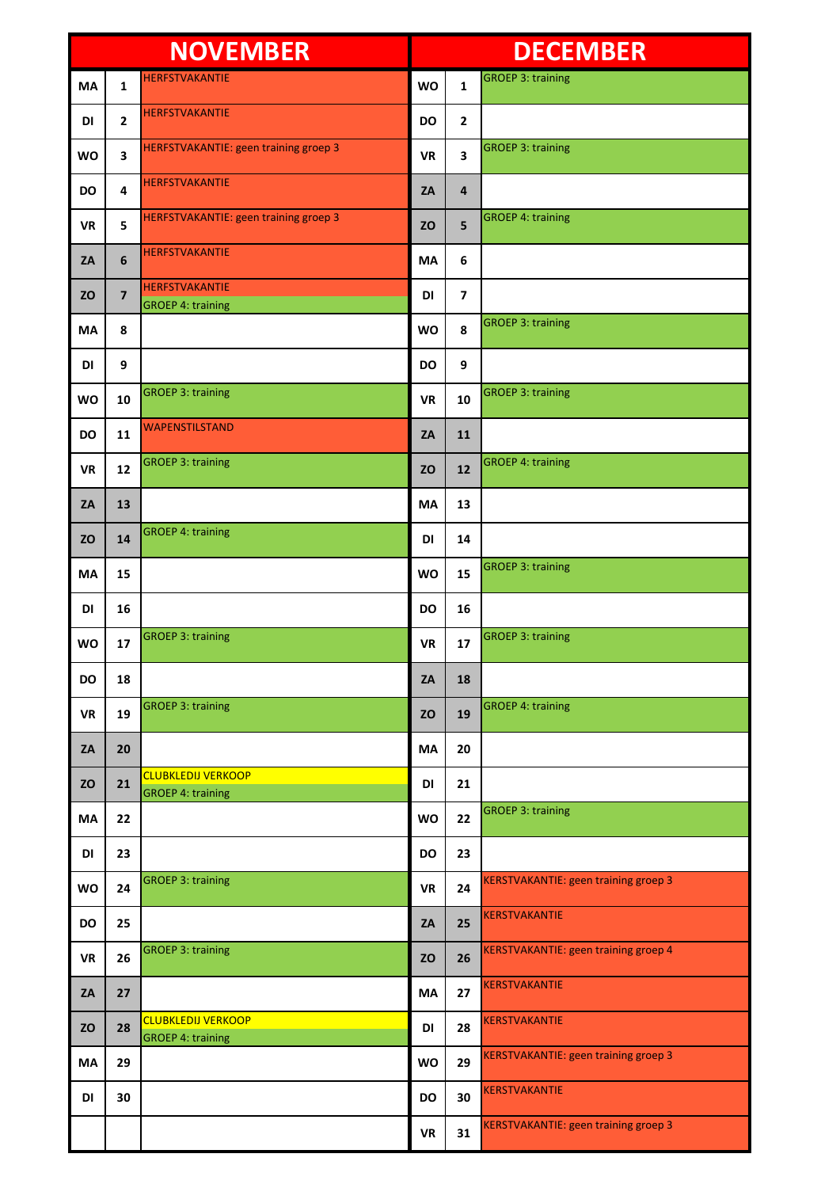| <b>NOVEMBER</b> |                         |                                                       | <b>DECEMBER</b> |                         |                                             |
|-----------------|-------------------------|-------------------------------------------------------|-----------------|-------------------------|---------------------------------------------|
| <b>MA</b>       | $\mathbf{1}$            | <b>HERFSTVAKANTIE</b>                                 | <b>WO</b>       | $\mathbf{1}$            | <b>GROEP 3: training</b>                    |
| DI              | $\mathbf{2}$            | <b>HERFSTVAKANTIE</b>                                 | <b>DO</b>       | $\overline{2}$          |                                             |
| <b>WO</b>       | 3                       | <b>HERFSTVAKANTIE: geen training groep 3</b>          | <b>VR</b>       | $\overline{\mathbf{3}}$ | <b>GROEP 3: training</b>                    |
| <b>DO</b>       | 4                       | <b>HERFSTVAKANTIE</b>                                 | ZA              | 4                       |                                             |
| <b>VR</b>       | 5                       | HERFSTVAKANTIE: geen training groep 3                 | <b>ZO</b>       | 5                       | <b>GROEP 4: training</b>                    |
| ZA              | 6                       | <b>HERFSTVAKANTIE</b>                                 | <b>MA</b>       | 6                       |                                             |
| <b>ZO</b>       | $\overline{\mathbf{z}}$ | <b>HERFSTVAKANTIE</b><br><b>GROEP 4: training</b>     | DI              | $\overline{7}$          |                                             |
| MA              | 8                       |                                                       | <b>WO</b>       | 8                       | <b>GROEP 3: training</b>                    |
| DI              | 9                       |                                                       | <b>DO</b>       | 9                       |                                             |
| <b>WO</b>       | 10                      | <b>GROEP 3: training</b>                              | <b>VR</b>       | 10                      | <b>GROEP 3: training</b>                    |
| <b>DO</b>       | 11                      | <b>WAPENSTILSTAND</b>                                 | ZA              | 11                      |                                             |
| <b>VR</b>       | 12                      | <b>GROEP 3: training</b>                              | <b>ZO</b>       | 12                      | <b>GROEP 4: training</b>                    |
| ZA              | 13                      |                                                       | MA              | 13                      |                                             |
| <b>ZO</b>       | 14                      | <b>GROEP 4: training</b>                              | DI              | 14                      |                                             |
| MA              | 15                      |                                                       | <b>WO</b>       | 15                      | <b>GROEP 3: training</b>                    |
| DI              | 16                      |                                                       | DO              | 16                      |                                             |
| <b>WO</b>       | 17                      | <b>GROEP 3: training</b>                              | <b>VR</b>       | 17                      | <b>GROEP 3: training</b>                    |
| <b>DO</b>       | 18                      |                                                       | ZA              | 18                      |                                             |
| <b>VR</b>       | 19                      | <b>GROEP 3: training</b>                              | <b>ZO</b>       | 19                      | <b>GROEP 4: training</b>                    |
| ZA              | 20                      |                                                       | <b>MA</b>       | 20                      |                                             |
| <b>ZO</b>       | 21                      | <b>CLUBKLEDIJ VERKOOP</b><br><b>GROEP 4: training</b> | DI              | 21                      |                                             |
| MA              | 22                      |                                                       | <b>WO</b>       | 22                      | <b>GROEP 3: training</b>                    |
| DI              | 23                      |                                                       | DO              | 23                      |                                             |
| <b>WO</b>       | 24                      | <b>GROEP 3: training</b>                              | <b>VR</b>       | 24                      | <b>KERSTVAKANTIE: geen training groep 3</b> |
| <b>DO</b>       | 25                      |                                                       | ZA              | 25                      | <b>KERSTVAKANTIE</b>                        |
| <b>VR</b>       | 26                      | <b>GROEP 3: training</b>                              | <b>ZO</b>       | 26                      | KERSTVAKANTIE: geen training groep 4        |
| ZA              | 27                      |                                                       | MA              | 27                      | <b>KERSTVAKANTIE</b>                        |
| <b>ZO</b>       | 28                      | <b>CLUBKLEDIJ VERKOOP</b><br><b>GROEP 4: training</b> | <b>DI</b>       | 28                      | <b>KERSTVAKANTIE</b>                        |
| MA              | 29                      |                                                       | <b>WO</b>       | 29                      | <b>KERSTVAKANTIE: geen training groep 3</b> |
| DI              | 30                      |                                                       | DO              | 30                      | <b>KERSTVAKANTIE</b>                        |
|                 |                         |                                                       | <b>VR</b>       | 31                      | <b>KERSTVAKANTIE: geen training groep 3</b> |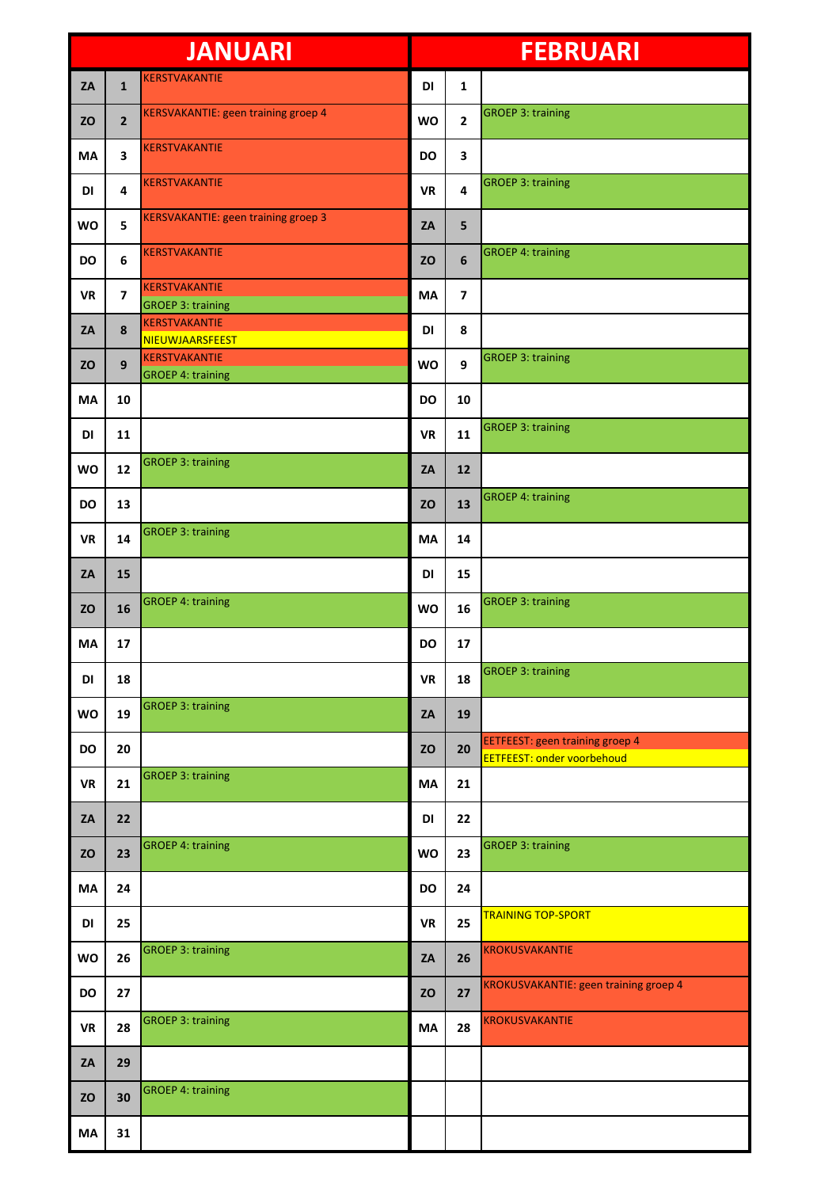| <b>JANUARI</b> |                         |                                                  | <b>FEBRUARI</b> |                |                                                                             |
|----------------|-------------------------|--------------------------------------------------|-----------------|----------------|-----------------------------------------------------------------------------|
| ZA             | $\mathbf{1}$            | KERSTVAKANTIE                                    | DI              | $\mathbf{1}$   |                                                                             |
| <b>ZO</b>      | $\mathbf{2}$            | <b>KERSVAKANTIE: geen training groep 4</b>       | <b>WO</b>       | $\overline{2}$ | <b>GROEP 3: training</b>                                                    |
| <b>MA</b>      | 3                       | <b>KERSTVAKANTIE</b>                             | <b>DO</b>       | 3              |                                                                             |
| DI             | 4                       | <b>KERSTVAKANTIE</b>                             | <b>VR</b>       | 4              | <b>GROEP 3: training</b>                                                    |
| <b>WO</b>      | 5                       | <b>KERSVAKANTIE: geen training groep 3</b>       | ZA              | 5              |                                                                             |
| <b>DO</b>      | 6                       | <b>KERSTVAKANTIE</b>                             | <b>ZO</b>       | 6              | <b>GROEP 4: training</b>                                                    |
| <b>VR</b>      | $\overline{\mathbf{z}}$ | <b>KERSTVAKANTIE</b><br><b>GROEP 3: training</b> | <b>MA</b>       | $\overline{ }$ |                                                                             |
| ZA             | 8                       | <b>KERSTVAKANTIE</b><br>NIEUWJAARSFEEST          | DI              | 8              |                                                                             |
| <b>ZO</b>      | 9                       | <b>KERSTVAKANTIE</b><br><b>GROEP 4: training</b> | <b>WO</b>       | 9              | <b>GROEP 3: training</b>                                                    |
| MA             | 10                      |                                                  | <b>DO</b>       | 10             |                                                                             |
| DI             | 11                      |                                                  | <b>VR</b>       | 11             | <b>GROEP 3: training</b>                                                    |
| <b>WO</b>      | 12                      | <b>GROEP 3: training</b>                         | ZA              | 12             |                                                                             |
| <b>DO</b>      | 13                      |                                                  | <b>ZO</b>       | 13             | <b>GROEP 4: training</b>                                                    |
| <b>VR</b>      | 14                      | <b>GROEP 3: training</b>                         | <b>MA</b>       | 14             |                                                                             |
| ZA             | 15                      |                                                  | DI              | 15             |                                                                             |
| <b>ZO</b>      | 16                      | <b>GROEP 4: training</b>                         | <b>WO</b>       | 16             | <b>GROEP 3: training</b>                                                    |
| <b>MA</b>      | 17                      |                                                  | <b>DO</b>       | 17             |                                                                             |
| DI             | 18                      |                                                  | <b>VR</b>       | 18             | <b>GROEP 3: training</b>                                                    |
| WO             | 19                      | <b>GROEP 3: training</b>                         | ZA              | 19             |                                                                             |
| <b>DO</b>      | 20                      |                                                  | <b>ZO</b>       | 20             | <b>EETFEEST: geen training groep 4</b><br><b>EETFEEST: onder voorbehoud</b> |
| <b>VR</b>      | 21                      | <b>GROEP 3: training</b>                         | <b>MA</b>       | 21             |                                                                             |
| ZA             | 22                      |                                                  | DI              | 22             |                                                                             |
| <b>ZO</b>      | 23                      | <b>GROEP 4: training</b>                         | WO              | 23             | <b>GROEP 3: training</b>                                                    |
| MA             | 24                      |                                                  | DO              | 24             |                                                                             |
| DI             | 25                      |                                                  | <b>VR</b>       | 25             | <b>TRAINING TOP-SPORT</b>                                                   |
| WO             | 26                      | <b>GROEP 3: training</b>                         | ZA              | 26             | <b>KROKUSVAKANTIE</b>                                                       |
| <b>DO</b>      | 27                      |                                                  | <b>ZO</b>       | 27             | KROKUSVAKANTIE: geen training groep 4                                       |
| <b>VR</b>      | 28                      | <b>GROEP 3: training</b>                         | MA              | 28             | <b>KROKUSVAKANTIE</b>                                                       |
| ZA             | 29                      |                                                  |                 |                |                                                                             |
| <b>ZO</b>      | 30                      | <b>GROEP 4: training</b>                         |                 |                |                                                                             |
| MA             | 31                      |                                                  |                 |                |                                                                             |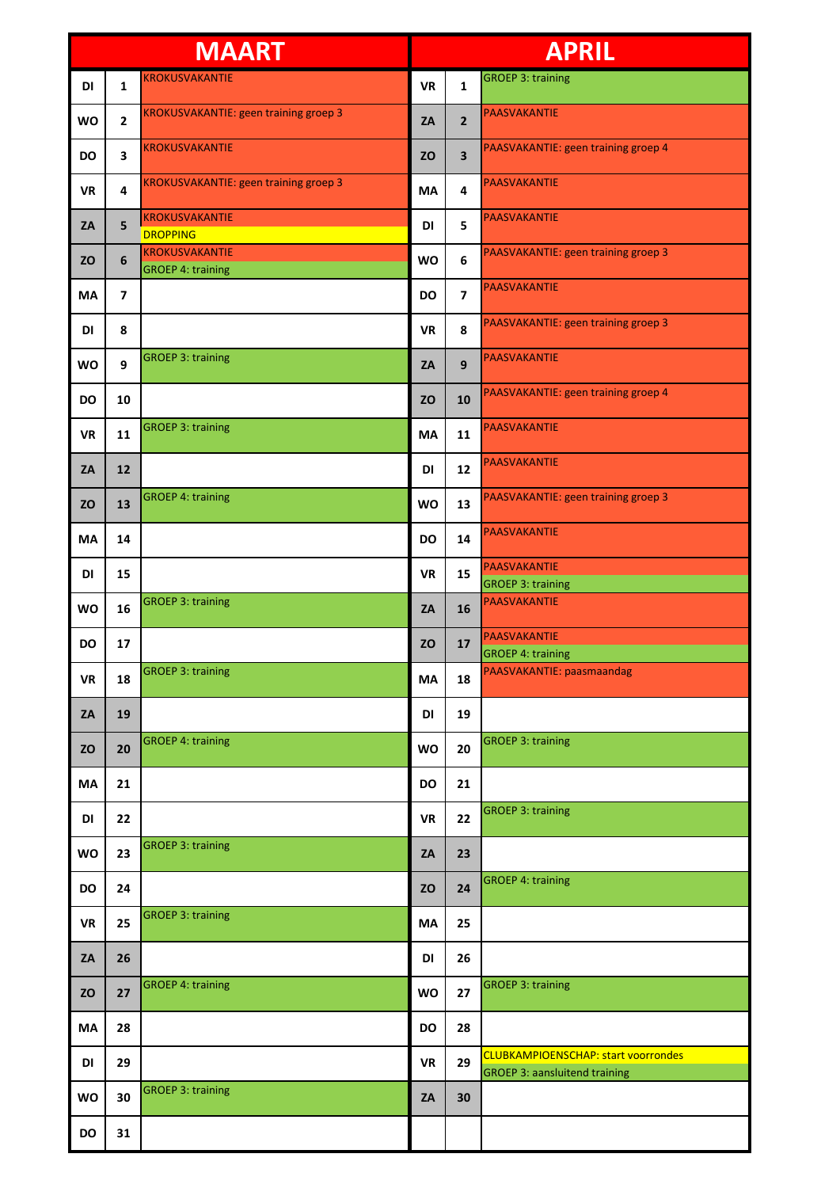| <b>MAART</b> |                         | <b>APRIL</b>                                      |           |                |                                                                                    |
|--------------|-------------------------|---------------------------------------------------|-----------|----------------|------------------------------------------------------------------------------------|
| DI           | $\mathbf{1}$            | <b>KROKUSVAKANTIE</b>                             | <b>VR</b> | 1              | <b>GROEP 3: training</b>                                                           |
| <b>WO</b>    | $\mathbf{2}$            | <b>KROKUSVAKANTIE: geen training groep 3</b>      | ZA        | $\overline{2}$ | PAASVAKANTIE                                                                       |
| <b>DO</b>    | 3                       | <b>KROKUSVAKANTIE</b>                             | <b>ZO</b> | 3              | PAASVAKANTIE: geen training groep 4                                                |
| <b>VR</b>    | 4                       | KROKUSVAKANTIE: geen training groep 3             | MA        | 4              | <b>PAASVAKANTIE</b>                                                                |
| ZA           | 5                       | <b>KROKUSVAKANTIE</b><br><b>DROPPING</b>          | DI        | 5              | PAASVAKANTIE                                                                       |
| <b>ZO</b>    | 6                       | <b>KROKUSVAKANTIE</b><br><b>GROEP 4: training</b> | <b>WO</b> | 6              | PAASVAKANTIE: geen training groep 3                                                |
| MA           | $\overline{\mathbf{z}}$ |                                                   | <b>DO</b> | $\overline{7}$ | <b>PAASVAKANTIE</b>                                                                |
| DI           | 8                       |                                                   | <b>VR</b> | 8              | PAASVAKANTIE: geen training groep 3                                                |
| <b>WO</b>    | 9                       | <b>GROEP 3: training</b>                          | ZA        | 9              | <b>PAASVAKANTIE</b>                                                                |
| <b>DO</b>    | 10                      |                                                   | <b>ZO</b> | 10             | PAASVAKANTIE: geen training groep 4                                                |
| <b>VR</b>    | 11                      | <b>GROEP 3: training</b>                          | <b>MA</b> | 11             | PAASVAKANTIE                                                                       |
| ZA           | 12                      |                                                   | DI        | 12             | PAASVAKANTIE                                                                       |
| <b>ZO</b>    | 13                      | <b>GROEP 4: training</b>                          | <b>WO</b> | 13             | PAASVAKANTIE: geen training groep 3                                                |
| MA           | 14                      |                                                   | <b>DO</b> | 14             | <b>PAASVAKANTIE</b>                                                                |
| DI           | 15                      |                                                   | <b>VR</b> | 15             | PAASVAKANTIE<br><b>GROEP 3: training</b>                                           |
| <b>WO</b>    | 16                      | <b>GROEP 3: training</b>                          | ZA        | 16             | <b>PAASVAKANTIE</b>                                                                |
| <b>DO</b>    | 17                      |                                                   | <b>ZO</b> | 17             | <b>PAASVAKANTIE</b><br><b>GROEP 4: training</b>                                    |
| <b>VR</b>    | 18                      | <b>GROEP 3: training</b>                          | MA        | 18             | PAASVAKANTIE: paasmaandag                                                          |
| ZA           | 19                      |                                                   | DI        | 19             |                                                                                    |
| <b>ZO</b>    | 20                      | <b>GROEP 4: training</b>                          | WO        | 20             | <b>GROEP 3: training</b>                                                           |
| MA           | 21                      |                                                   | <b>DO</b> | 21             |                                                                                    |
| DI           | 22                      |                                                   | <b>VR</b> | 22             | <b>GROEP 3: training</b>                                                           |
| WO           | 23                      | <b>GROEP 3: training</b>                          | ZA        | 23             |                                                                                    |
| <b>DO</b>    | 24                      |                                                   | <b>ZO</b> | 24             | <b>GROEP 4: training</b>                                                           |
| <b>VR</b>    | 25                      | <b>GROEP 3: training</b>                          | <b>MA</b> | 25             |                                                                                    |
| ZA           | 26                      |                                                   | DI        | 26             |                                                                                    |
| <b>ZO</b>    | 27                      | <b>GROEP 4: training</b>                          | <b>WO</b> | 27             | <b>GROEP 3: training</b>                                                           |
| MA           | 28                      |                                                   | <b>DO</b> | 28             |                                                                                    |
| DI           | 29                      |                                                   | <b>VR</b> | 29             | <b>CLUBKAMPIOENSCHAP: start voorrondes</b><br><b>GROEP 3: aansluitend training</b> |
| <b>WO</b>    | 30                      | <b>GROEP 3: training</b>                          | ZA        | 30             |                                                                                    |
| DO           | 31                      |                                                   |           |                |                                                                                    |